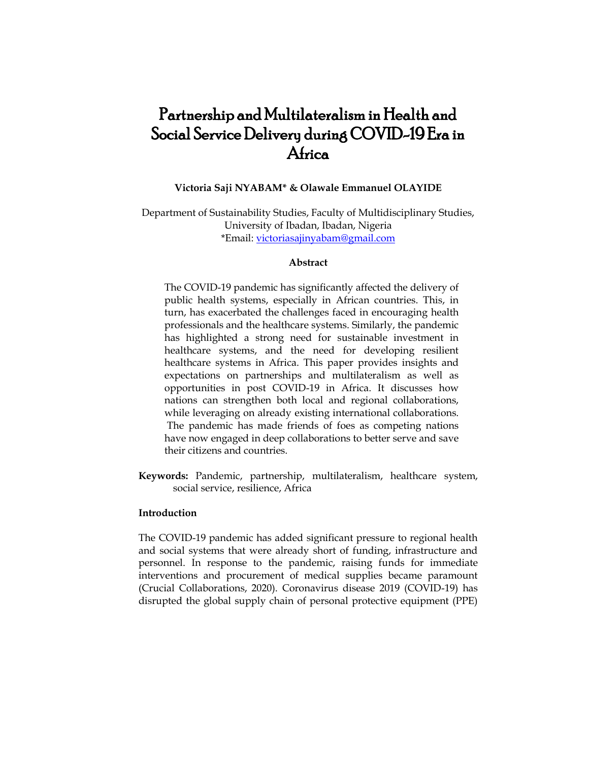# Partnership and Multilateralism in Health and Social Service Delivery during COVID-19 Era in Africa

## **Victoria Saji NYABAM\* & Olawale Emmanuel OLAYIDE**

Department of Sustainability Studies, Faculty of Multidisciplinary Studies, University of Ibadan, Ibadan, Nigeria \*Email: [victoriasajinyabam@gmail.com](mailto:victoriasajinyabam@gmail.com)

# **Abstract**

The COVID-19 pandemic has significantly affected the delivery of public health systems, especially in African countries. This, in turn, has exacerbated the challenges faced in encouraging health professionals and the healthcare systems. Similarly, the pandemic has highlighted a strong need for sustainable investment in healthcare systems, and the need for developing resilient healthcare systems in Africa. This paper provides insights and expectations on partnerships and multilateralism as well as opportunities in post COVID-19 in Africa. It discusses how nations can strengthen both local and regional collaborations, while leveraging on already existing international collaborations. The pandemic has made friends of foes as competing nations have now engaged in deep collaborations to better serve and save their citizens and countries.

**Keywords:** Pandemic, partnership, multilateralism, healthcare system, social service, resilience, Africa

# **Introduction**

The COVID-19 pandemic has added significant pressure to regional health and social systems that were already short of funding, infrastructure and personnel. In response to the pandemic, raising funds for immediate interventions and procurement of medical supplies became paramount (Crucial Collaborations, 2020). Coronavirus disease 2019 (COVID-19) has disrupted the global supply chain of personal protective equipment (PPE)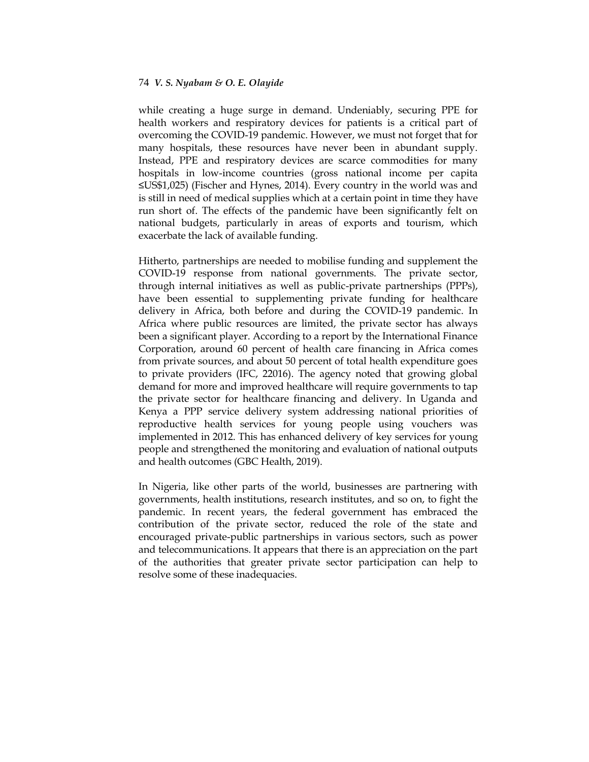while creating a huge surge in demand. Undeniably, securing PPE for health workers and respiratory devices for patients is a critical part of overcoming the COVID-19 pandemic. However, we must not forget that for many hospitals, these resources have never been in abundant supply. Instead, PPE and respiratory devices are scarce commodities for many hospitals in low-income countries (gross national income per capita ≤US\$1,025) (Fischer and Hynes, 2014). Every country in the world was and is still in need of medical supplies which at a certain point in time they have run short of. The effects of the pandemic have been significantly felt on national budgets, particularly in areas of exports and tourism, which exacerbate the lack of available funding.

Hitherto, partnerships are needed to mobilise funding and supplement the COVID-19 response from national governments. The private sector, through internal initiatives as well as public-private partnerships (PPPs), have been essential to supplementing private funding for healthcare delivery in Africa, both before and during the COVID-19 pandemic. In Africa where public resources are limited, the private sector has always been a significant player. According to a report by the International Finance Corporation, around 60 percent of health care financing in Africa comes from private sources, and about 50 percent of total health expenditure goes to private providers (IFC, 22016). The agency noted that growing global demand for more and improved healthcare will require governments to tap the private sector for healthcare financing and delivery. In Uganda and Kenya a PPP service delivery system addressing national priorities of reproductive health services for young people using vouchers was implemented in 2012. This has enhanced delivery of key services for young people and strengthened the monitoring and evaluation of national outputs and health outcomes (GBC Health, 2019).

In Nigeria, like other parts of the world, businesses are partnering with governments, health institutions, research institutes, and so on, to fight the pandemic. In recent years, the federal government has embraced the contribution of the private sector, reduced the role of the state and encouraged private-public partnerships in various sectors, such as power and telecommunications. It appears that there is an appreciation on the part of the authorities that greater private sector participation can help to resolve some of these inadequacies.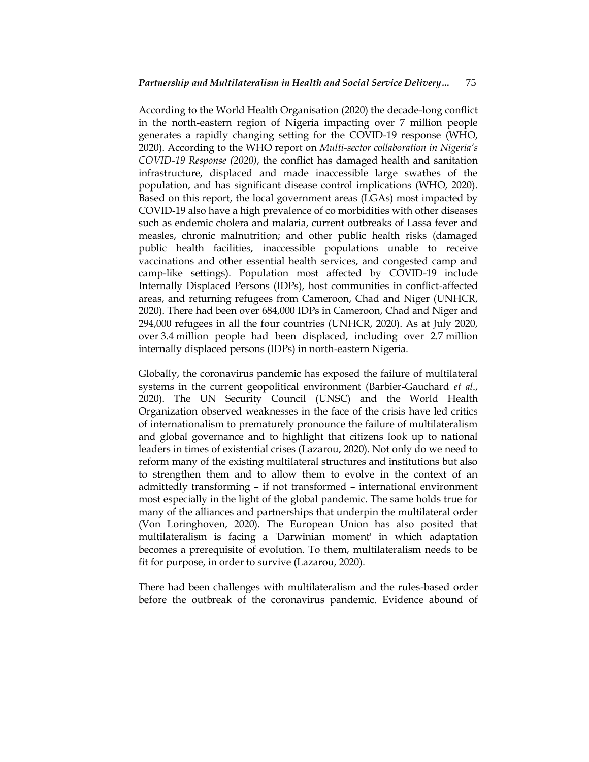According to the World Health Organisation (2020) the decade-long conflict in the north-eastern region of Nigeria impacting over 7 million people generates a rapidly changing setting for the COVID-19 response (WHO, 2020). According to the WHO report on *Multi-sector collaboration in Nigeria's COVID-19 Response (2020)*, the conflict has damaged health and sanitation infrastructure, displaced and made inaccessible large swathes of the population, and has significant disease control implications (WHO, 2020). Based on this report, the local government areas (LGAs) most impacted by COVID-19 also have a high prevalence of co morbidities with other diseases such as endemic cholera and malaria, current outbreaks of Lassa fever and measles, chronic malnutrition; and other public health risks (damaged public health facilities, inaccessible populations unable to receive vaccinations and other essential health services, and congested camp and camp-like settings). Population most affected by COVID-19 include Internally Displaced Persons (IDPs), host communities in conflict-affected areas, and returning refugees from Cameroon, Chad and Niger (UNHCR, 2020). There had been over 684,000 IDPs in Cameroon, Chad and Niger and 294,000 refugees in all the four countries (UNHCR, 2020). As at July 2020, over 3.4 million people had been displaced, including over 2.7 million internally displaced persons (IDPs) in north-eastern Nigeria.

Globally, the coronavirus pandemic has exposed the failure of multilateral systems in the current geopolitical environment (Barbier-Gauchard *et al*., 2020). The UN Security Council (UNSC) and the World Health Organization observed weaknesses in the face of the crisis have led critics of internationalism to prematurely pronounce the failure of multilateralism and global governance and to highlight that citizens look up to national leaders in times of existential crises (Lazarou, 2020). Not only do we need to reform many of the existing multilateral structures and institutions but also to strengthen them and to allow them to evolve in the context of an admittedly transforming – if not transformed – international environment most especially in the light of the global pandemic. The same holds true for many of the alliances and partnerships that underpin the multilateral order (Von Loringhoven, 2020). The European Union has also posited that multilateralism is facing a 'Darwinian moment' in which adaptation becomes a prerequisite of evolution. To them, multilateralism needs to be fit for purpose, in order to survive (Lazarou, 2020).

There had been challenges with multilateralism and the rules-based order before the outbreak of the coronavirus pandemic. Evidence abound of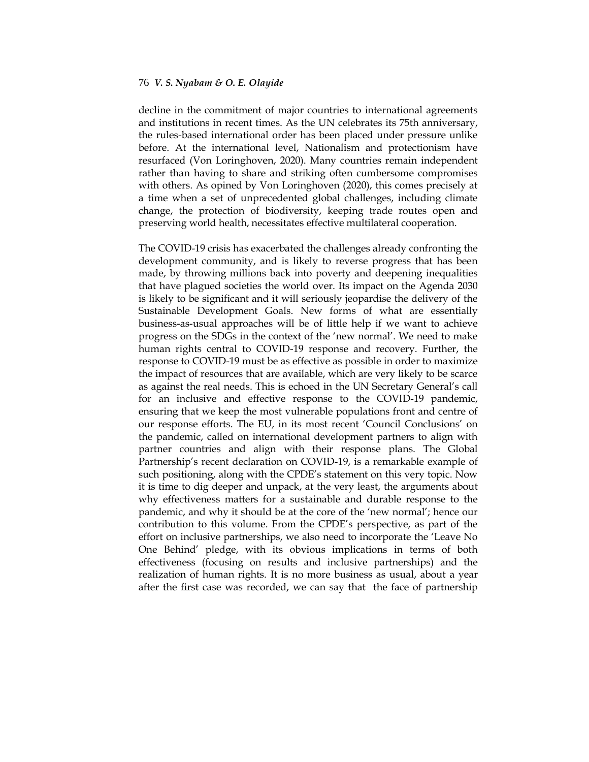decline in the commitment of major countries to international agreements and institutions in recent times. As the UN celebrates its 75th anniversary, the rules-based international order has been placed under pressure unlike before. At the international level, Nationalism and protectionism have resurfaced (Von Loringhoven, 2020). Many countries remain independent rather than having to share and striking often cumbersome compromises with others. As opined by Von Loringhoven (2020), this comes precisely at a time when a set of unprecedented global challenges, including climate change, the protection of biodiversity, keeping trade routes open and preserving world health, necessitates effective multilateral cooperation.

The COVID-19 crisis has exacerbated the challenges already confronting the development community, and is likely to reverse progress that has been made, by throwing millions back into poverty and deepening inequalities that have plagued societies the world over. Its impact on the Agenda 2030 is likely to be significant and it will seriously jeopardise the delivery of the Sustainable Development Goals. New forms of what are essentially business-as-usual approaches will be of little help if we want to achieve progress on the SDGs in the context of the "new normal". We need to make human rights central to COVID-19 response and recovery. Further, the response to COVID-19 must be as effective as possible in order to maximize the impact of resources that are available, which are very likely to be scarce as against the real needs. This is echoed in the UN Secretary General"s call for an inclusive and effective response to the COVID-19 pandemic, ensuring that we keep the most vulnerable populations front and centre of our response efforts. The EU, in its most recent "Council Conclusions" on the pandemic, called on international development partners to align with partner countries and align with their response plans. The Global Partnership"s recent declaration on COVID-19, is a remarkable example of such positioning, along with the CPDE"s statement on this very topic. Now it is time to dig deeper and unpack, at the very least, the arguments about why effectiveness matters for a sustainable and durable response to the pandemic, and why it should be at the core of the "new normal"; hence our contribution to this volume. From the CPDE"s perspective, as part of the effort on inclusive partnerships, we also need to incorporate the "Leave No One Behind" pledge, with its obvious implications in terms of both effectiveness (focusing on results and inclusive partnerships) and the realization of human rights. It is no more business as usual, about a year after the first case was recorded, we can say that the face of partnership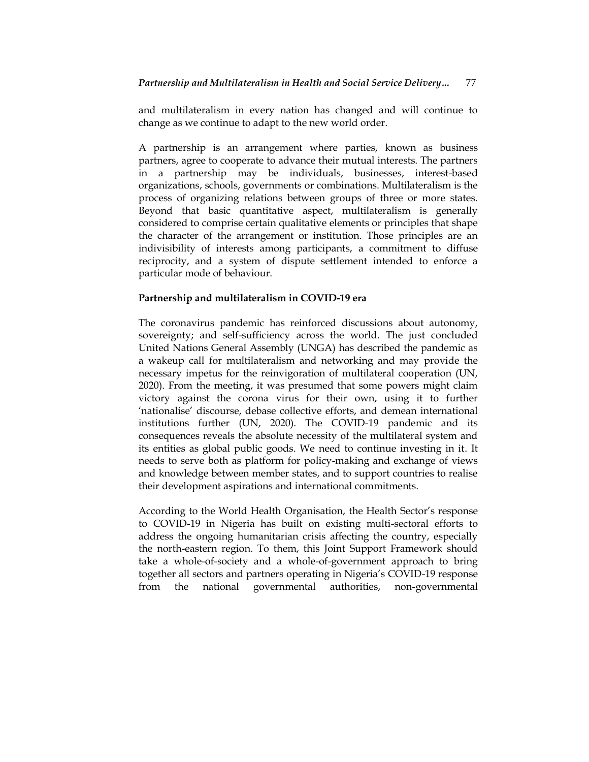and multilateralism in every nation has changed and will continue to change as we continue to adapt to the new world order.

A partnership is an arrangement where parties, known as [business](https://en.wikipedia.org/wiki/Business_partner)  [partners,](https://en.wikipedia.org/wiki/Business_partner) agree to cooperate to advance their mutual interests. The partners in a partnership may be individuals, [businesses,](https://en.wikipedia.org/wiki/Business_entity) [interest-](https://en.wikipedia.org/wiki/Interest)based [organizations,](https://en.wikipedia.org/wiki/Organization) [schools,](https://en.wikipedia.org/wiki/School) [governments](https://en.wikipedia.org/wiki/Government) or combinations. Multilateralism is the process of organizing relations between groups of three or more states. Beyond that basic quantitative aspect, multilateralism is generally considered to [comprise](https://www.merriam-webster.com/dictionary/comprise) certain qualitative elements or principles that shape the character of the arrangement or institution. Those principles are an indivisibility of interests among participants, a commitment to diffuse [reciprocity,](https://www.merriam-webster.com/dictionary/reciprocity) and a system of dispute settlement intended to enforce a particular mode of behaviour.

## **Partnership and multilateralism in COVID-19 era**

The coronavirus pandemic has reinforced discussions about autonomy, sovereignty; and self-sufficiency across the world. The just concluded United Nations General Assembly (UNGA) has described the pandemic as a wakeup call for multilateralism and networking and may provide the necessary impetus for the reinvigoration of multilateral cooperation (UN, 2020). From the meeting, it was presumed that some powers might claim victory against the corona virus for their own, using it to further 'nationalise' discourse, debase collective efforts, and demean international institutions further (UN, 2020). The COVID-19 pandemic and its consequences reveals the absolute necessity of the multilateral system and its entities as global public goods. We need to continue investing in it. It needs to serve both as platform for policy-making and exchange of views and knowledge between member states, and to support countries to realise their development aspirations and international commitments.

According to the World Health Organisation, the Health Sector's response to COVID-19 in Nigeria has built on existing multi-sectoral efforts to address the ongoing humanitarian crisis affecting the country, especially the north-eastern region. To them, this Joint Support Framework should take a whole-of-society and a whole-of-government approach to bring together all sectors and partners operating in Nigeria"s COVID-19 response from the national governmental authorities, non-governmental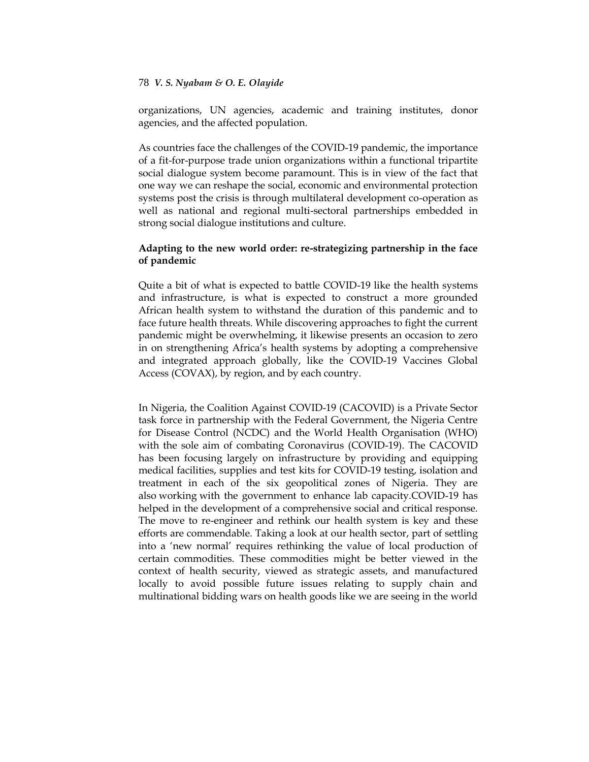organizations, UN agencies, academic and training institutes, donor agencies, and the affected population.

As countries face the challenges of the COVID-19 pandemic, the importance of a fit-for-purpose trade union organizations within a functional tripartite social dialogue system become paramount. This is in view of the fact that one way we can reshape the social, economic and environmental protection systems post the crisis is through multilateral development co-operation as well as national and regional multi-sectoral partnerships embedded in strong social dialogue institutions and culture.

# **Adapting to the new world order: re-strategizing partnership in the face of pandemic**

Quite a bit of what is expected to battle COVID-19 like the health systems and infrastructure, is what is expected to construct a more grounded African health system to withstand the duration of this pandemic and to face future health threats. While discovering approaches to fight the current pandemic might be overwhelming, it likewise presents an occasion to zero in on strengthening Africa"s health systems by adopting a comprehensive and integrated approach globally, like the COVID-19 Vaccines Global Access (COVAX), by region, and by each country.

In Nigeria, the Coalition Against COVID-19 (CACOVID) is a Private Sector task force in partnership with the Federal Government, the Nigeria Centre for Disease Control (NCDC) and the World Health Organisation (WHO) with the sole aim of combating Coronavirus (COVID-19). The CACOVID has been focusing largely on infrastructure by providing and equipping medical facilities, supplies and test kits for COVID-19 testing, isolation and treatment in each of the six geopolitical zones of Nigeria. They are also [working](https://www.cacovid.org/#learn) with the government to enhance lab capacity.COVID-19 has helped in the development of a comprehensive social and critical response. The move to re-engineer and rethink our health system is key and these efforts are commendable. Taking a look at our health sector, part of settling into a "new normal" requires rethinking the value of local production of certain commodities. These commodities might be better viewed in the context of health security, viewed as strategic assets, and manufactured locally to avoid possible future issues relating to supply chain and multinational bidding wars on health goods like we are seeing in the world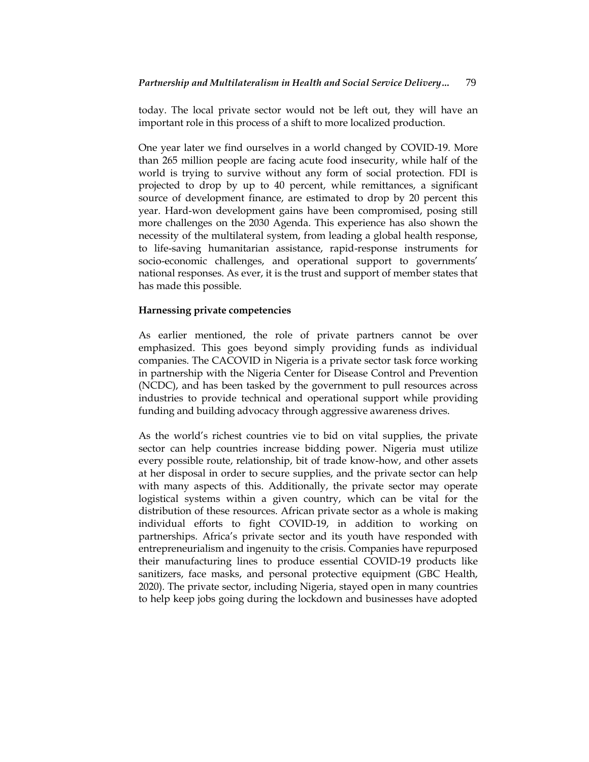today. The local private sector would not be left out, they will have an important role in this process of a shift to more localized production.

One year later we find ourselves in a world changed by COVID-19. More than 265 million people are facing acute food insecurity, while half of the world is trying to survive without any form of social protection. FDI is projected to drop by up to 40 percent, while remittances, a significant source of development finance, are estimated to drop by 20 percent this year. Hard-won development gains have been compromised, posing still more challenges on the 2030 Agenda. This experience has also shown the necessity of the multilateral system, from leading a global health response, to life-saving humanitarian assistance, rapid-response instruments for socio-economic challenges, and operational support to governments" national responses. As ever, it is the trust and support of member states that has made this possible.

# **Harnessing private competencies**

As earlier mentioned, the role of private partners cannot be over emphasized. This goes beyond simply providing funds as individual companies. The CACOVID in Nigeria is a private sector task force working in partnership with the Nigeria Center for Disease Control and Prevention (NCDC), and has been tasked by the government to pull resources across industries to provide technical and operational support while providing funding and building advocacy through aggressive awareness drives.

As the world"s richest countries vie to bid on vital supplies, the private sector can help countries increase bidding power. Nigeria must utilize every possible route, relationship, bit of trade know-how, and other assets at her disposal in order to secure supplies, and the private sector can help with many aspects of this. Additionally, the private sector may operate logistical systems within a given country, which can be vital for the distribution of these resources. African private sector as a whole is making individual efforts to fight COVID-19, in addition to working on partnerships. Africa"s private sector and its youth have responded with entrepreneurialism and ingenuity to the crisis. Companies have repurposed their manufacturing lines to produce essential COVID-19 products like sanitizers, face masks, and personal protective equipment (GBC Health, 2020). The private sector, including Nigeria, stayed open in many countries to help keep jobs going during the lockdown and businesses have adopted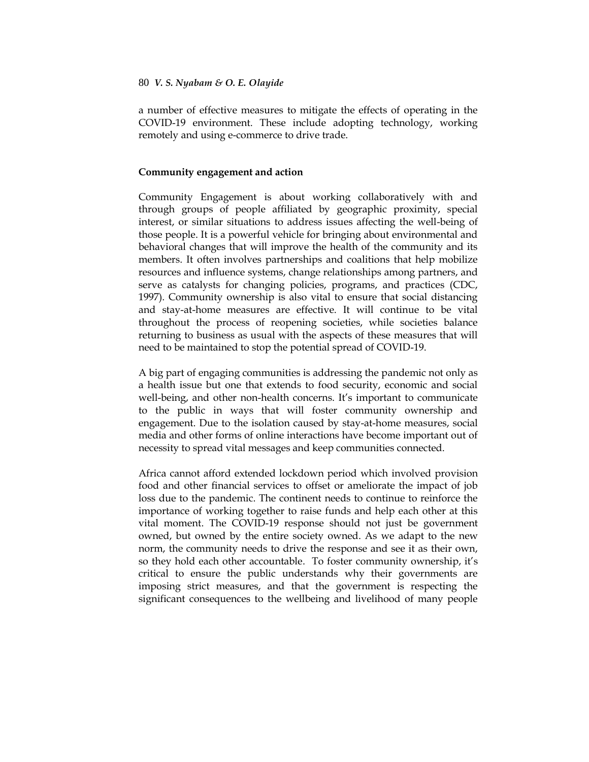a number of effective measures to mitigate the effects of operating in the COVID-19 environment. These include adopting technology, working remotely and using e-commerce to drive trade.

## **Community engagement and action**

Community Engagement is about working collaboratively with and through groups of people affiliated by geographic proximity, special interest, or similar situations to address issues affecting the well-being of those people. It is a powerful vehicle for bringing about environmental and behavioral changes that will improve the health of the community and its members. It often involves partnerships and coalitions that help mobilize resources and influence systems, change relationships among partners, and serve as catalysts for changing policies, programs, and practices (CDC, 1997). Community ownership is also vital to ensure that social distancing and stay-at-home measures are effective. It will continue to be vital throughout the process of reopening societies, while societies balance returning to business as usual with the aspects of these measures that will need to be maintained to stop the potential spread of COVID-19.

A big part of engaging communities is addressing the pandemic not only as a health issue but one that extends to food security, economic and social well-being, and other non-health concerns. It's important to communicate to the public in ways that will foster community ownership and engagement. Due to the isolation caused by stay-at-home measures, social media and other forms of online interactions have become important out of necessity to spread vital messages and keep communities connected.

Africa cannot afford extended lockdown period which involved provision food and other financial services to offset or ameliorate the impact of job loss due to the pandemic. The continent needs to continue to reinforce the importance of working together to raise funds and help each other at this vital moment. The COVID-19 response should not just be government owned, but owned by the entire society owned. As we adapt to the new norm, the community needs to drive the response and see it as their own, so they hold each other accountable. To foster community ownership, it's critical to ensure the public understands why their governments are imposing strict measures, and that the government is respecting the significant consequences to the wellbeing and livelihood of many people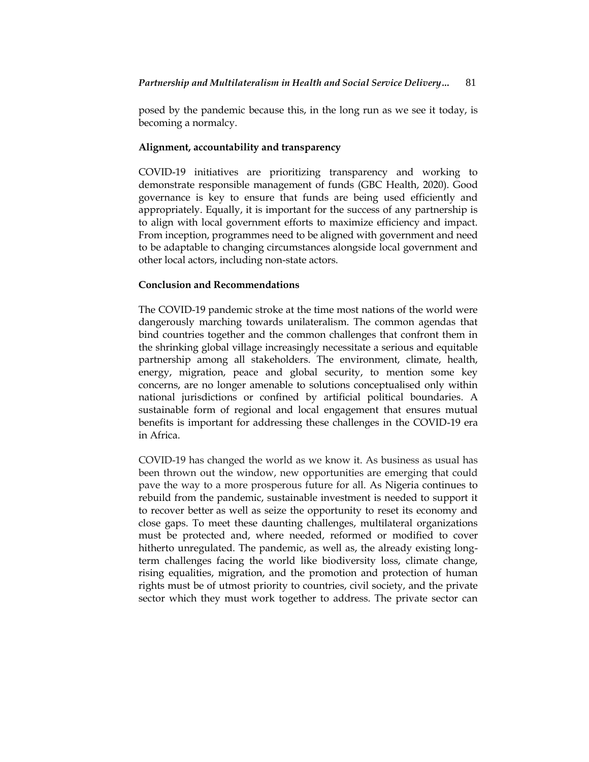posed by the pandemic because this, in the long run as we see it today, is becoming a normalcy.

## **Alignment, accountability and transparency**

COVID-19 initiatives are prioritizing transparency and working to demonstrate responsible management of funds (GBC Health, 2020). Good governance is key to ensure that funds are being used efficiently and appropriately. Equally, it is important for the success of any partnership is to align with local government efforts to maximize efficiency and impact. From inception, programmes need to be aligned with government and need to be adaptable to changing circumstances alongside local government and other local actors, including non-state actors.

## **Conclusion and Recommendations**

The COVID-19 pandemic stroke at the time most nations of the world were dangerously marching towards unilateralism. The common agendas that bind countries together and the common challenges that confront them in the shrinking global village increasingly necessitate a serious and equitable partnership among all stakeholders. The environment, climate, health, energy, migration, peace and global security, to mention some key concerns, are no longer amenable to solutions conceptualised only within national jurisdictions or confined by artificial political boundaries. A sustainable form of regional and local engagement that ensures mutual benefits is important for addressing these challenges in the COVID-19 era in Africa.

COVID-19 has changed the world as we know it. As business as usual has been thrown out the window, new opportunities are emerging that could pave the way to a more prosperous future for all. As Nigeria continues to rebuild from the pandemic, sustainable investment is needed to support it to [recover better](http://www.seforall.org/RecoverBetter) as well as seize the opportunity to reset its economy and close gaps. To meet these daunting challenges, multilateral organizations must be protected and, where needed, reformed or modified to cover hitherto unregulated. The pandemic, as well as, the already existing longterm challenges facing the world like biodiversity loss, climate change, rising equalities, migration, and the promotion and protection of human rights must be of utmost priority to countries, civil society, and the private sector which they must work together to address. The private sector can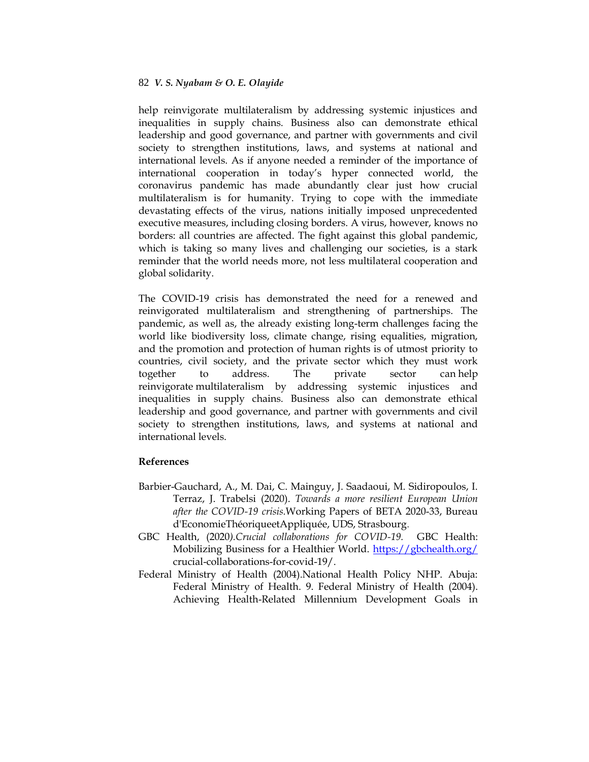help reinvigorate multilateralism by addressing systemic injustices and inequalities in supply chains. Business also can demonstrate ethical leadership and good governance, and partner with governments and civil society to strengthen institutions, laws, and systems at national and international levels. As if anyone needed a reminder of the importance of international cooperation in today's hyper connected world, the coronavirus pandemic has made abundantly clear just how crucial multilateralism is for humanity. Trying to cope with the immediate devastating effects of the virus, nations initially imposed unprecedented executive measures, including closing borders. A virus, however, knows no borders: all countries are affected. The fight against this global pandemic, which is taking so many lives and challenging our societies, is a stark reminder that the world needs more, not less multilateral cooperation and global solidarity.

The COVID-19 crisis has demonstrated the need for a renewed and reinvigorated multilateralism and strengthening of partnerships. The pandemic, as well as, the already existing long-term challenges facing the world like biodiversity loss, climate change, rising equalities, migration, and the promotion and protection of human rights is of utmost priority to countries, civil society, and the private sector which they must work together to address. The private sector can help reinvigorate multilateralism by addressing systemic injustices and inequalities in supply chains. Business also can demonstrate ethical leadership and good governance, and partner with governments and civil society to strengthen institutions, laws, and systems at national and international levels.

# **References**

- Barbier-Gauchard, A., M. Dai, C. Mainguy, J. Saadaoui, M. Sidiropoulos, I. Terraz, J. Trabelsi (2020). *[Towards a more resilient European Union](https://ideas.repec.org/p/ulp/sbbeta/2020-33.html)  [after the COVID-19 crisis.](https://ideas.repec.org/p/ulp/sbbeta/2020-33.html)*[Working Papers of BETA](https://ideas.repec.org/s/ulp/sbbeta.html) 2020-33, Bureau d'EconomieThéoriqueetAppliquée, UDS, Strasbourg.
- GBC Health, (2020*).Crucial collaborations for COVID-19.* GBC Health: Mobilizing Business for a Healthier World.<https://gbchealth.org/> crucial-collaborations-for-covid-19/.
- Federal Ministry of Health (2004).National Health Policy NHP. Abuja: Federal Ministry of Health. 9. Federal Ministry of Health (2004). Achieving Health-Related Millennium Development Goals in